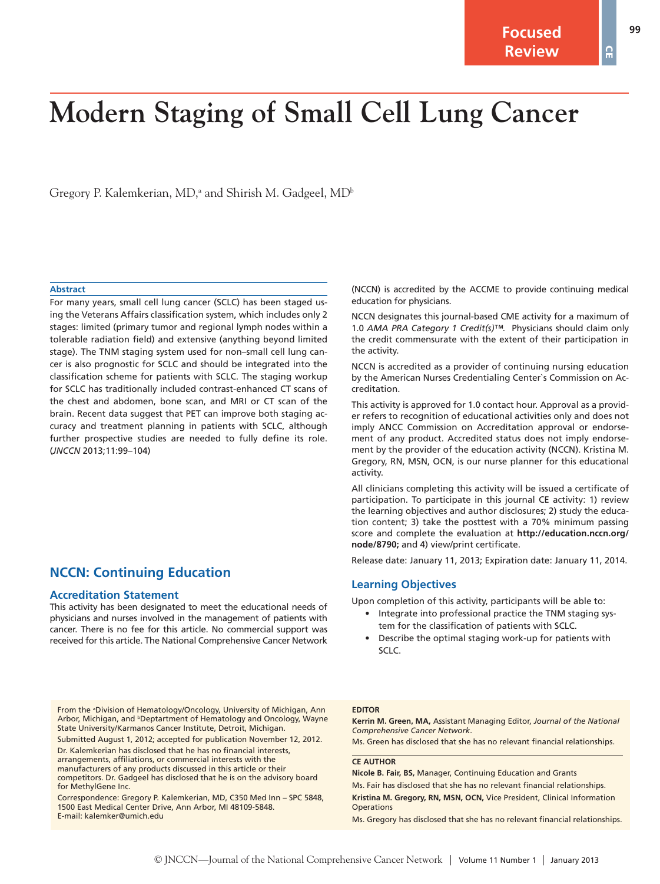# **Modern Staging of Small Cell Lung Cancer**

Gregory P. Kalemkerian, MD,<sup>a</sup> and Shirish M. Gadgeel, MD<sup>b</sup>

#### **Abstract**

For many years, small cell lung cancer (SCLC) has been staged using the Veterans Affairs classification system, which includes only 2 stages: limited (primary tumor and regional lymph nodes within a tolerable radiation field) and extensive (anything beyond limited stage). The TNM staging system used for non–small cell lung cancer is also prognostic for SCLC and should be integrated into the classification scheme for patients with SCLC. The staging workup for SCLC has traditionally included contrast-enhanced CT scans of the chest and abdomen, bone scan, and MRI or CT scan of the brain. Recent data suggest that PET can improve both staging accuracy and treatment planning in patients with SCLC, although further prospective studies are needed to fully define its role. (*JNCCN* 2013;11:99–104)

## **NCCN: Continuing Education**

#### **Accreditation Statement**

This activity has been designated to meet the educational needs of physicians and nurses involved in the management of patients with cancer. There is no fee for this article. No commercial support was received for this article. The National Comprehensive Cancer Network

(NCCN) is accredited by the ACCME to provide continuing medical education for physicians.

NCCN designates this journal-based CME activity for a maximum of 1.0 *AMA PRA Category 1 Credit(s)™.* Physicians should claim only the credit commensurate with the extent of their participation in the activity.

NCCN is accredited as a provider of continuing nursing education by the American Nurses Credentialing Center`s Commission on Accreditation.

This activity is approved for 1.0 contact hour. Approval as a provider refers to recognition of educational activities only and does not imply ANCC Commission on Accreditation approval or endorsement of any product. Accredited status does not imply endorsement by the provider of the education activity (NCCN). Kristina M. Gregory, RN, MSN, OCN, is our nurse planner for this educational activity.

All clinicians completing this activity will be issued a certificate of participation. To participate in this journal CE activity: 1) review the learning objectives and author disclosures; 2) study the education content; 3) take the posttest with a 70% minimum passing score and complete the evaluation at **http://education.nccn.org/ node/8790;** and 4) view/print certificate.

Release date: January 11, 2013; Expiration date: January 11, 2014.

### **Learning Objectives**

Upon completion of this activity, participants will be able to:

- Integrate into professional practice the TNM staging system for the classification of patients with SCLC.
- • Describe the optimal staging work-up for patients with SCLC.

From the <sup>a</sup>Division of Hematology/Oncology, University of Michigan, Ann Arbor, Michigan, and *Deptartment of Hematology and Oncology, Wayne* State University/Karmanos Cancer Institute, Detroit, Michigan.

Submitted August 1, 2012; accepted for publication November 12, 2012. Dr. Kalemkerian has disclosed that he has no financial interests, arrangements, affiliations, or commercial interests with the manufacturers of any products discussed in this article or their competitors. Dr. Gadgeel has disclosed that he is on the advisory board for MethylGene Inc.

Correspondence: Gregory P. Kalemkerian, MD, C350 Med Inn – SPC 5848, 1500 East Medical Center Drive, Ann Arbor, MI 48109-5848. E-mail: kalemker@umich.edu

#### **EDITOR**

**Kerrin M. Green, MA,** Assistant Managing Editor, *Journal of the National Comprehensive Cancer Network*.

Ms. Green has disclosed that she has no relevant financial relationships.

### **CE AUTHOR**

**Nicole B. Fair, BS,** Manager, Continuing Education and Grants Ms. Fair has disclosed that she has no relevant financial relationships. **Kristina M. Gregory, RN, MSN, OCN,** Vice President, Clinical Information **Operations** 

Ms. Gregory has disclosed that she has no relevant financial relationships.

ူ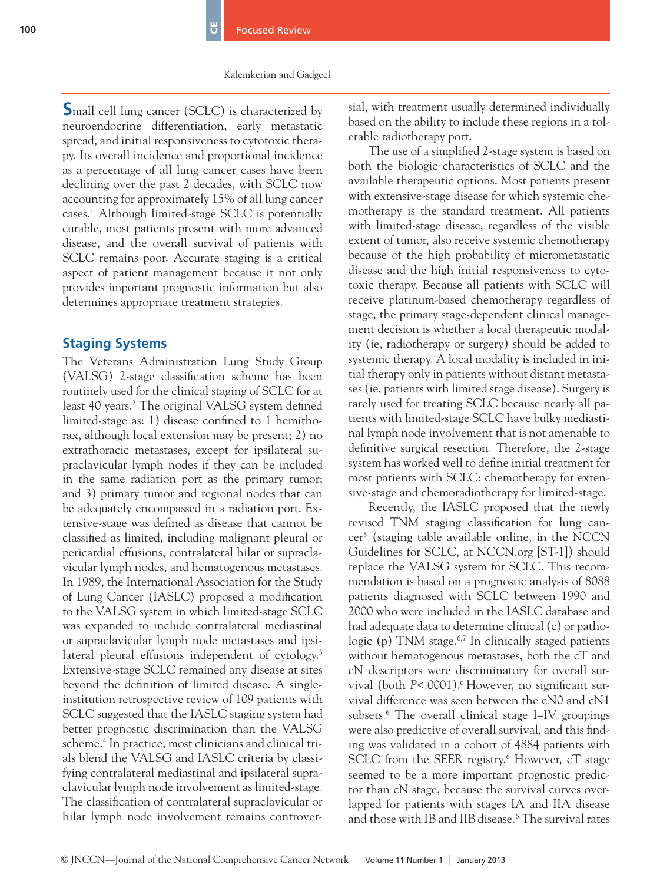#### Kalemkerian and Gadgeel

**S**mall cell lung cancer (SCLC) is characterized by neuroendocrine differentiation, early metastatic spread, and initial responsiveness to cytotoxic therapy. Its overall incidence and proportional incidence as a percentage of all lung cancer cases have been declining over the past 2 decades, with SCLC now accounting for approximately 15% of all lung cancer cases.1 Although limited-stage SCLC is potentially curable, most patients present with more advanced disease, and the overall survival of patients with SCLC remains poor. Accurate staging is a critical aspect of patient management because it not only provides important prognostic information but also determines appropriate treatment strategies.

## **Staging Systems**

The Veterans Administration Lung Study Group (VALSG) 2-stage classification scheme has been routinely used for the clinical staging of SCLC for at least 40 years.<sup>2</sup> The original VALSG system defined limited-stage as: 1) disease confined to 1 hemithorax, although local extension may be present; 2) no extrathoracic metastases, except for ipsilateral supraclavicular lymph nodes if they can be included in the same radiation port as the primary tumor; and 3) primary tumor and regional nodes that can be adequately encompassed in a radiation port. Extensive-stage was defined as disease that cannot be classified as limited, including malignant pleural or pericardial effusions, contralateral hilar or supraclavicular lymph nodes, and hematogenous metastases. In 1989, the International Association for the Study of Lung Cancer (IASLC) proposed a modification to the VALSG system in which limited-stage SCLC was expanded to include contralateral mediastinal or supraclavicular lymph node metastases and ipsilateral pleural effusions independent of cytology.<sup>3</sup> Extensive-stage SCLC remained any disease at sites beyond the definition of limited disease. A singleinstitution retrospective review of 109 patients with SCLC suggested that the IASLC staging system had better prognostic discrimination than the VALSG scheme.4 In practice, most clinicians and clinical trials blend the VALSG and IASLC criteria by classifying contralateral mediastinal and ipsilateral supraclavicular lymph node involvement as limited-stage. The classification of contralateral supraclavicular or hilar lymph node involvement remains controversial, with treatment usually determined individually based on the ability to include these regions in a tolerable radiotherapy port.

The use of a simplified 2-stage system is based on both the biologic characteristics of SCLC and the available therapeutic options. Most patients present with extensive-stage disease for which systemic chemotherapy is the standard treatment. All patients with limited-stage disease, regardless of the visible extent of tumor, also receive systemic chemotherapy because of the high probability of micrometastatic disease and the high initial responsiveness to cytotoxic therapy. Because all patients with SCLC will receive platinum-based chemotherapy regardless of stage, the primary stage-dependent clinical management decision is whether a local therapeutic modality (ie, radiotherapy or surgery) should be added to systemic therapy. A local modality is included in initial therapy only in patients without distant metastases (ie, patients with limited stage disease). Surgery is rarely used for treating SCLC because nearly all patients with limited-stage SCLC have bulky mediastinal lymph node involvement that is not amenable to definitive surgical resection. Therefore, the 2-stage system has worked well to define initial treatment for most patients with SCLC: chemotherapy for extensive-stage and chemoradiotherapy for limited-stage.

Recently, the IASLC proposed that the newly revised TNM staging classification for lung can $cer<sup>5</sup>$  (staging table available online, in the NCCN Guidelines for SCLC, at NCCN.org [ST-1]) should replace the VALSG system for SCLC. This recommendation is based on a prognostic analysis of 8088 patients diagnosed with SCLC between 1990 and 2000 who were included in the IASLC database and had adequate data to determine clinical (c) or pathologic (p) TNM stage. $6,7$  In clinically staged patients without hematogenous metastases, both the cT and cN descriptors were discriminatory for overall survival (both *P<.0001*).<sup>6</sup> However, no significant survival difference was seen between the cN0 and cN1 subsets.6 The overall clinical stage I–IV groupings were also predictive of overall survival, and this finding was validated in a cohort of 4884 patients with SCLC from the SEER registry.<sup>6</sup> However, cT stage seemed to be a more important prognostic predictor than cN stage, because the survival curves overlapped for patients with stages IA and IIA disease and those with IB and IIB disease.6 The survival rates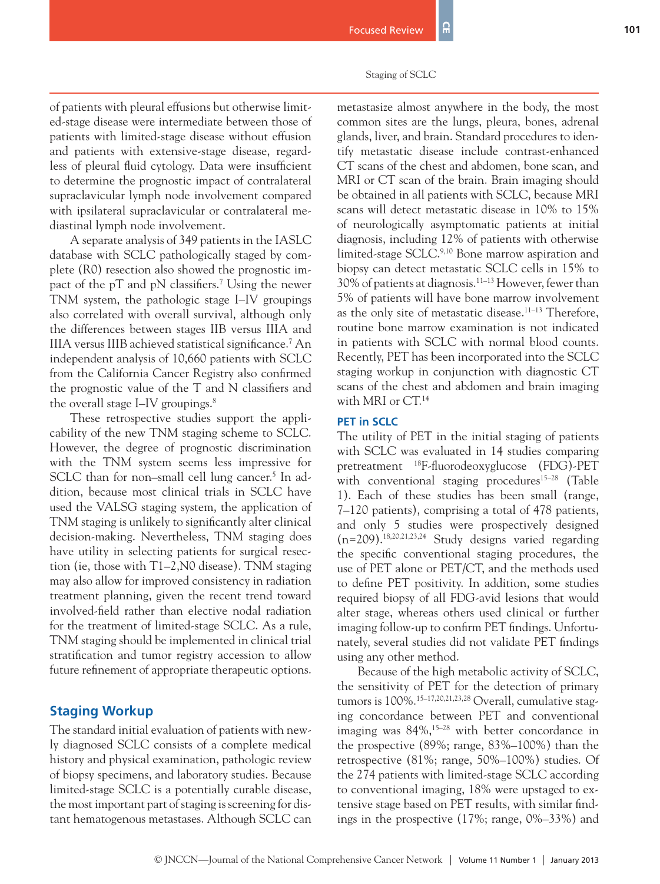### Staging of SCLC

 $\Omega$ 

of patients with pleural effusions but otherwise limited-stage disease were intermediate between those of patients with limited-stage disease without effusion and patients with extensive-stage disease, regardless of pleural fluid cytology. Data were insufficient to determine the prognostic impact of contralateral supraclavicular lymph node involvement compared with ipsilateral supraclavicular or contralateral mediastinal lymph node involvement.

A separate analysis of 349 patients in the IASLC database with SCLC pathologically staged by complete (R0) resection also showed the prognostic impact of the pT and pN classifiers.<sup>7</sup> Using the newer TNM system, the pathologic stage I–IV groupings also correlated with overall survival, although only the differences between stages IIB versus IIIA and IIIA versus IIIB achieved statistical significance.7 An independent analysis of 10,660 patients with SCLC from the California Cancer Registry also confirmed the prognostic value of the T and N classifiers and the overall stage I–IV groupings. $8$ 

These retrospective studies support the applicability of the new TNM staging scheme to SCLC. However, the degree of prognostic discrimination with the TNM system seems less impressive for SCLC than for non–small cell lung cancer.<sup>5</sup> In addition, because most clinical trials in SCLC have used the VALSG staging system, the application of TNM staging is unlikely to significantly alter clinical decision-making. Nevertheless, TNM staging does have utility in selecting patients for surgical resection (ie, those with T1–2,N0 disease). TNM staging may also allow for improved consistency in radiation treatment planning, given the recent trend toward involved-field rather than elective nodal radiation for the treatment of limited-stage SCLC. As a rule, TNM staging should be implemented in clinical trial stratification and tumor registry accession to allow future refinement of appropriate therapeutic options.

## **Staging Workup**

The standard initial evaluation of patients with newly diagnosed SCLC consists of a complete medical history and physical examination, pathologic review of biopsy specimens, and laboratory studies. Because limited-stage SCLC is a potentially curable disease, the most important part of staging is screening for distant hematogenous metastases. Although SCLC can metastasize almost anywhere in the body, the most common sites are the lungs, pleura, bones, adrenal glands, liver, and brain. Standard procedures to identify metastatic disease include contrast-enhanced CT scans of the chest and abdomen, bone scan, and MRI or CT scan of the brain. Brain imaging should be obtained in all patients with SCLC, because MRI scans will detect metastatic disease in 10% to 15% of neurologically asymptomatic patients at initial diagnosis, including 12% of patients with otherwise limited-stage SCLC.9,10 Bone marrow aspiration and biopsy can detect metastatic SCLC cells in 15% to 30% of patients at diagnosis.11–13 However, fewer than 5% of patients will have bone marrow involvement as the only site of metastatic disease.<sup>11-13</sup> Therefore, routine bone marrow examination is not indicated in patients with SCLC with normal blood counts. Recently, PET has been incorporated into the SCLC staging workup in conjunction with diagnostic CT scans of the chest and abdomen and brain imaging with MRI or CT.14

## **PET in SCLC**

The utility of PET in the initial staging of patients with SCLC was evaluated in 14 studies comparing pretreatment 18F-fluorodeoxyglucose (FDG)-PET with conventional staging procedures<sup>15-28</sup> (Table 1). Each of these studies has been small (range, 7–120 patients), comprising a total of 478 patients, and only 5 studies were prospectively designed (n=209).18,20,21,23,24 Study designs varied regarding the specific conventional staging procedures, the use of PET alone or PET/CT, and the methods used to define PET positivity. In addition, some studies required biopsy of all FDG-avid lesions that would alter stage, whereas others used clinical or further imaging follow-up to confirm PET findings. Unfortunately, several studies did not validate PET findings using any other method.

Because of the high metabolic activity of SCLC, the sensitivity of PET for the detection of primary tumors is 100%.<sup>15-17,20,21,23,28</sup> Overall, cumulative staging concordance between PET and conventional imaging was 84%,<sup>15-28</sup> with better concordance in the prospective (89%; range, 83%–100%) than the retrospective (81%; range, 50%–100%) studies. Of the 274 patients with limited-stage SCLC according to conventional imaging, 18% were upstaged to extensive stage based on PET results, with similar findings in the prospective (17%; range, 0%–33%) and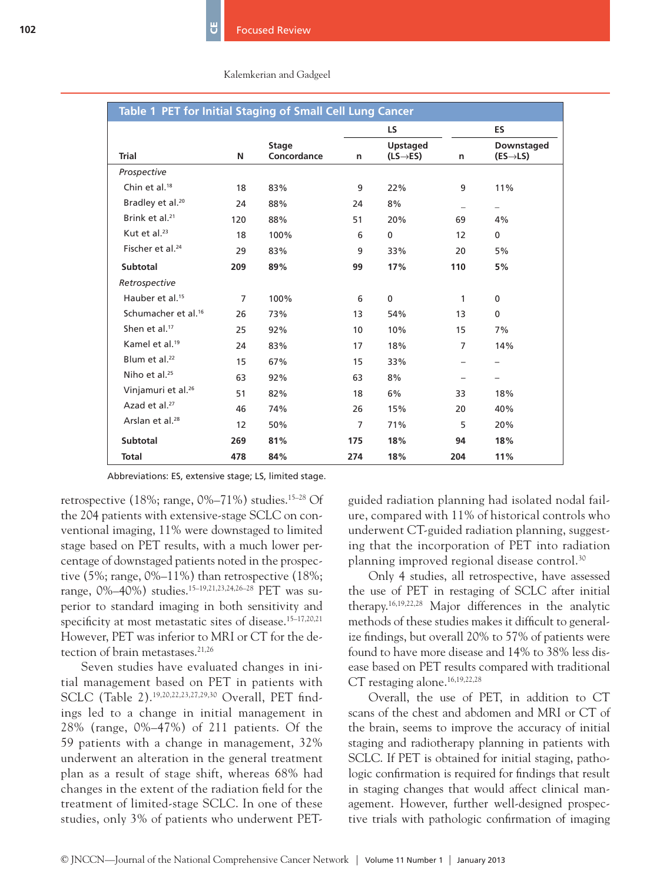٣,

| Table 1 PET for Initial Staging of Small Cell Lung Cancer |                |                      |                |                                          |                          |                                            |  |  |
|-----------------------------------------------------------|----------------|----------------------|----------------|------------------------------------------|--------------------------|--------------------------------------------|--|--|
|                                                           |                |                      |                | <b>LS</b>                                |                          | <b>ES</b>                                  |  |  |
| Trial                                                     | N              | Stage<br>Concordance | n              | <b>Upstaged</b><br>$(LS \rightarrow ES)$ | n                        | <b>Downstaged</b><br>$(ES \rightarrow LS)$ |  |  |
| Prospective                                               |                |                      |                |                                          |                          |                                            |  |  |
| Chin et al. <sup>18</sup>                                 | 18             | 83%                  | 9              | 22%                                      | 9                        | 11%                                        |  |  |
| Bradley et al. <sup>20</sup>                              | 24             | 88%                  | 24             | 8%                                       | $\overline{\phantom{0}}$ | $\overline{\phantom{0}}$                   |  |  |
| Brink et al. <sup>21</sup>                                | 120            | 88%                  | 51             | 20%                                      | 69                       | 4%                                         |  |  |
| Kut et al. $23$                                           | 18             | 100%                 | 6              | $\mathbf 0$                              | 12                       | 0                                          |  |  |
| Fischer et al. <sup>24</sup>                              | 29             | 83%                  | 9              | 33%                                      | 20                       | 5%                                         |  |  |
| <b>Subtotal</b>                                           | 209            | 89%                  | 99             | 17%                                      | 110                      | 5%                                         |  |  |
| Retrospective                                             |                |                      |                |                                          |                          |                                            |  |  |
| Hauber et al. <sup>15</sup>                               | $\overline{7}$ | 100%                 | 6              | $\mathbf 0$                              | $\mathbf{1}$             | 0                                          |  |  |
| Schumacher et al. <sup>16</sup>                           | 26             | 73%                  | 13             | 54%                                      | 13                       | 0                                          |  |  |
| Shen et al. <sup>17</sup>                                 | 25             | 92%                  | 10             | 10%                                      | 15                       | 7%                                         |  |  |
| Kamel et al. <sup>19</sup>                                | 24             | 83%                  | 17             | 18%                                      | $\overline{7}$           | 14%                                        |  |  |
| Blum et al. <sup>22</sup>                                 | 15             | 67%                  | 15             | 33%                                      |                          |                                            |  |  |
| Niho et al. $25$                                          | 63             | 92%                  | 63             | 8%                                       | -                        | -                                          |  |  |
| Vinjamuri et al. <sup>26</sup>                            | 51             | 82%                  | 18             | 6%                                       | 33                       | 18%                                        |  |  |
| Azad et al. <sup>27</sup>                                 | 46             | 74%                  | 26             | 15%                                      | 20                       | 40%                                        |  |  |
| Arslan et al. <sup>28</sup>                               | 12             | 50%                  | $\overline{7}$ | 71%                                      | 5                        | 20%                                        |  |  |
| Subtotal                                                  | 269            | 81%                  | 175            | 18%                                      | 94                       | 18%                                        |  |  |
| <b>Total</b>                                              | 478            | 84%                  | 274            | 18%                                      | 204                      | 11%                                        |  |  |

#### Kalemkerian and Gadgeel

Abbreviations: ES, extensive stage; LS, limited stage.

retrospective (18%; range, 0%–71%) studies.<sup>15-28</sup> Of the 204 patients with extensive-stage SCLC on conventional imaging, 11% were downstaged to limited stage based on PET results, with a much lower percentage of downstaged patients noted in the prospective (5%; range,  $0\%-11\%$ ) than retrospective (18%; range, 0%–40%) studies.15–19,21,23,24,26–28 PET was superior to standard imaging in both sensitivity and specificity at most metastatic sites of disease.<sup>15–17,20,21</sup> However, PET was inferior to MRI or CT for the detection of brain metastases.<sup>21,26</sup>

Seven studies have evaluated changes in initial management based on PET in patients with SCLC (Table 2).19,20,22,23,27,29,30 Overall, PET findings led to a change in initial management in 28% (range, 0%–47%) of 211 patients. Of the 59 patients with a change in management, 32% underwent an alteration in the general treatment plan as a result of stage shift, whereas 68% had changes in the extent of the radiation field for the treatment of limited-stage SCLC. In one of these studies, only 3% of patients who underwent PET- guided radiation planning had isolated nodal failure, compared with 11% of historical controls who underwent CT-guided radiation planning, suggesting that the incorporation of PET into radiation planning improved regional disease control.30

Only 4 studies, all retrospective, have assessed the use of PET in restaging of SCLC after initial therapy.16,19,22,28 Major differences in the analytic methods of these studies makes it difficult to generalize findings, but overall 20% to 57% of patients were found to have more disease and 14% to 38% less disease based on PET results compared with traditional CT restaging alone.<sup>16,19,22,28</sup>

Overall, the use of PET, in addition to CT scans of the chest and abdomen and MRI or CT of the brain, seems to improve the accuracy of initial staging and radiotherapy planning in patients with SCLC. If PET is obtained for initial staging, pathologic confirmation is required for findings that result in staging changes that would affect clinical management. However, further well-designed prospective trials with pathologic confirmation of imaging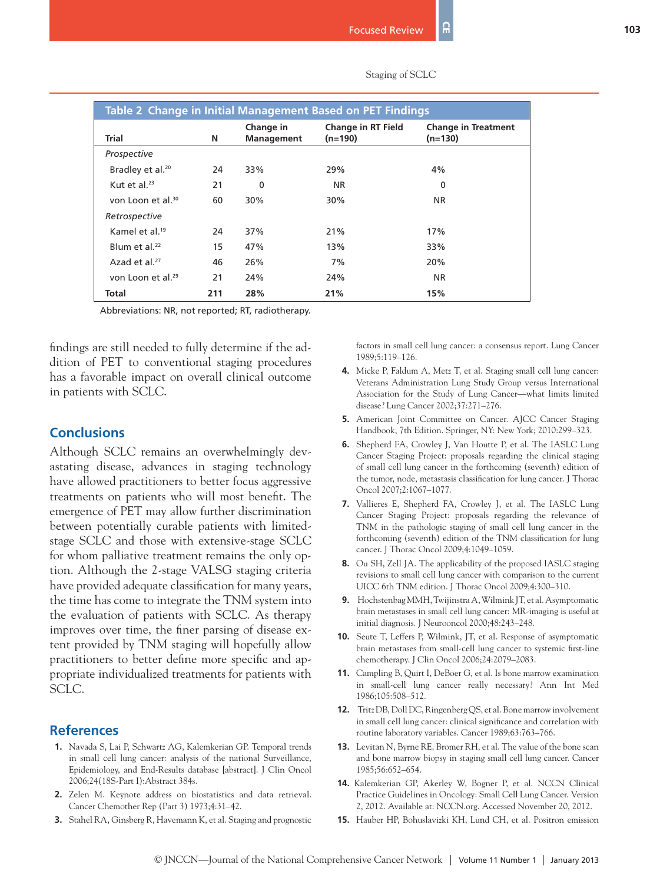| Table 2 Change in Initial Management Based on PET Findings |     |                                |                                        |                                         |  |  |  |
|------------------------------------------------------------|-----|--------------------------------|----------------------------------------|-----------------------------------------|--|--|--|
| <b>Trial</b>                                               | N   | Change in<br><b>Management</b> | <b>Change in RT Field</b><br>$(n=190)$ | <b>Change in Treatment</b><br>$(n=130)$ |  |  |  |
| Prospective                                                |     |                                |                                        |                                         |  |  |  |
|                                                            |     |                                |                                        |                                         |  |  |  |
| Bradley et al. <sup>20</sup>                               | 24  | 33%                            | 29%                                    | 4%                                      |  |  |  |
| Kut et al. $23$                                            | 21  | $\mathbf{0}$                   | NR.                                    | 0                                       |  |  |  |
| von Loon et al. <sup>30</sup>                              | 60  | 30%                            | 30%                                    | <b>NR</b>                               |  |  |  |
| Retrospective                                              |     |                                |                                        |                                         |  |  |  |
| Kamel et al. $19$                                          | 24  | 37%                            | 21%                                    | 17%                                     |  |  |  |
| Blum et al. $22$                                           | 15  | 47%                            | 13%                                    | 33%                                     |  |  |  |
| Azad et al. <sup>27</sup>                                  | 46  | 26%                            | 7%                                     | 20%                                     |  |  |  |
| von Loon et al. <sup>29</sup>                              | 21  | 24%                            | 24%                                    | <b>NR</b>                               |  |  |  |
| <b>Total</b>                                               | 211 | 28%                            | 21%                                    | 15%                                     |  |  |  |

Staging of SCLC

 $\Omega$ 

Abbreviations: NR, not reported; RT, radiotherapy.

findings are still needed to fully determine if the addition of PET to conventional staging procedures has a favorable impact on overall clinical outcome in patients with SCLC.

# **Conclusions**

Although SCLC remains an overwhelmingly devastating disease, advances in staging technology have allowed practitioners to better focus aggressive treatments on patients who will most benefit. The emergence of PET may allow further discrimination between potentially curable patients with limitedstage SCLC and those with extensive-stage SCLC for whom palliative treatment remains the only option. Although the 2-stage VALSG staging criteria have provided adequate classification for many years, the time has come to integrate the TNM system into the evaluation of patients with SCLC. As therapy improves over time, the finer parsing of disease extent provided by TNM staging will hopefully allow practitioners to better define more specific and appropriate individualized treatments for patients with SCLC.

## **References**

- **1.** Navada S, Lai P, Schwartz AG, Kalemkerian GP. Temporal trends in small cell lung cancer: analysis of the national Surveillance, Epidemiology, and End-Results database [abstract]. J Clin Oncol 2006;24(18S-Part I):Abstract 384s.
- **2.** Zelen M. Keynote address on biostatistics and data retrieval. Cancer Chemother Rep (Part 3) 1973;4:31–42.
- **3.** Stahel RA, Ginsberg R, Havemann K, et al. Staging and prognostic

factors in small cell lung cancer: a consensus report. Lung Cancer 1989;5:119–126.

- **4.** Micke P, Faldum A, Metz T, et al. Staging small cell lung cancer: Veterans Administration Lung Study Group versus International Association for the Study of Lung Cancer—what limits limited disease? Lung Cancer 2002;37:271–276.
- **5.** American Joint Committee on Cancer. AJCC Cancer Staging Handbook, 7th Edition. Springer, NY: New York; 2010:299–323.
- **6.** Shepherd FA, Crowley J, Van Houtte P, et al. The IASLC Lung Cancer Staging Project: proposals regarding the clinical staging of small cell lung cancer in the forthcoming (seventh) edition of the tumor, node, metastasis classification for lung cancer. J Thorac Oncol 2007;2:1067–1077.
- **7.** Vallieres E, Shepherd FA, Crowley J, et al. The IASLC Lung Cancer Staging Project: proposals regarding the relevance of TNM in the pathologic staging of small cell lung cancer in the forthcoming (seventh) edition of the TNM classification for lung cancer. J Thorac Oncol 2009;4:1049–1059.
- **8.** Ou SH, Zell JA. The applicability of the proposed IASLC staging revisions to small cell lung cancer with comparison to the current UICC 6th TNM edition. J Thorac Oncol 2009;4:300–310.
- **9.** Hochstenbag MMH, Twijinstra A, Wilmink JT, et al. Asymptomatic brain metastases in small cell lung cancer: MR-imaging is useful at initial diagnosis. J Neurooncol 2000;48:243–248.
- **10.** Seute T, Leffers P, Wilmink, JT, et al. Response of asymptomatic brain metastases from small-cell lung cancer to systemic first-line chemotherapy. J Clin Oncol 2006;24:2079–2083.
- **11.** Campling B, Quirt I, DeBoer G, et al. Is bone marrow examination in small-cell lung cancer really necessary? Ann Int Med 1986;105:508–512.
- **12.** Tritz DB, Doll DC, Ringenberg QS, et al. Bone marrow involvement in small cell lung cancer: clinical significance and correlation with routine laboratory variables. Cancer 1989;63:763–766.
- **13.** Levitan N, Byrne RE, Bromer RH, et al. The value of the bone scan and bone marrow biopsy in staging small cell lung cancer. Cancer 1985;56:652–654.
- **14.** Kalemkerian GP, Akerley W, Bogner P, et al. NCCN Clinical Practice Guidelines in Oncology: Small Cell Lung Cancer. Version 2, 2012. Available at: NCCN.org. Accessed November 20, 2012.
- **15.** Hauber HP, Bohuslavizki KH, Lund CH, et al. Positron emission